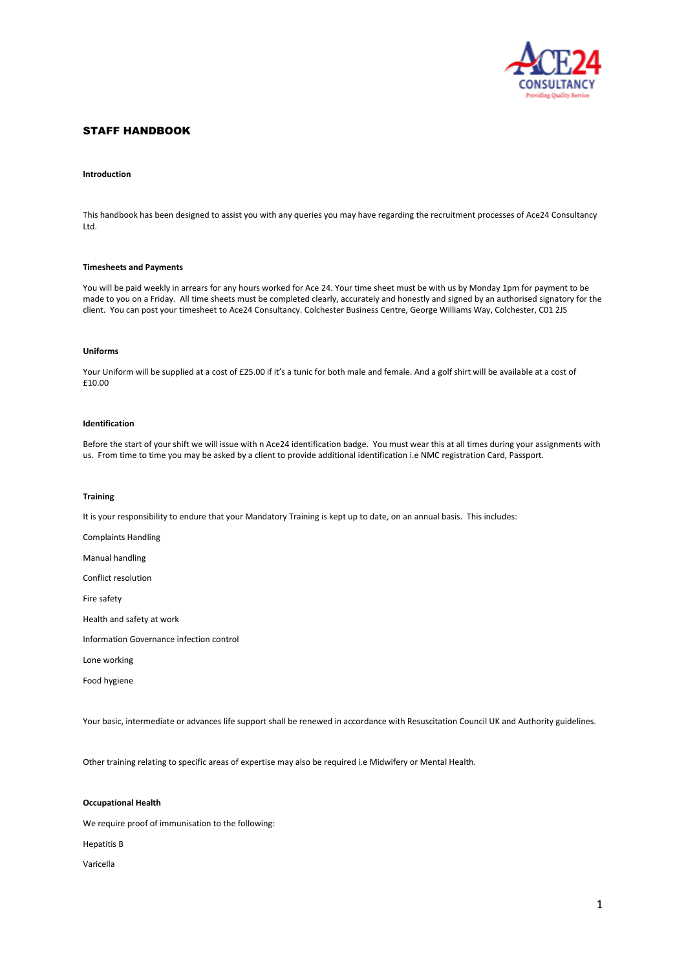

# STAFF HANDBOOK

## **Introduction**

This handbook has been designed to assist you with any queries you may have regarding the recruitment processes of Ace24 Consultancy Ltd.

### **Timesheets and Payments**

You will be paid weekly in arrears for any hours worked for Ace 24. Your time sheet must be with us by Monday 1pm for payment to be made to you on a Friday. All time sheets must be completed clearly, accurately and honestly and signed by an authorised signatory for the client. You can post your timesheet to Ace24 Consultancy. Colchester Business Centre, George Williams Way, Colchester, C01 2JS

# **Uniforms**

Your Uniform will be supplied at a cost of £25.00 if it's a tunic for both male and female. And a golf shirt will be available at a cost of £10.00

# **Identification**

Before the start of your shift we will issue with n Ace24 identification badge. You must wear this at all times during your assignments with us. From time to time you may be asked by a client to provide additional identification i.e NMC registration Card, Passport.

## **Training**

It is your responsibility to endure that your Mandatory Training is kept up to date, on an annual basis. This includes:

Complaints Handling

Manual handling

Conflict resolution

Fire safety

Health and safety at work

Information Governance infection control

Lone working

Food hygiene

Your basic, intermediate or advances life support shall be renewed in accordance with Resuscitation Council UK and Authority guidelines.

Other training relating to specific areas of expertise may also be required i.e Midwifery or Mental Health.

## **Occupational Health**

We require proof of immunisation to the following:

Hepatitis B

Varicella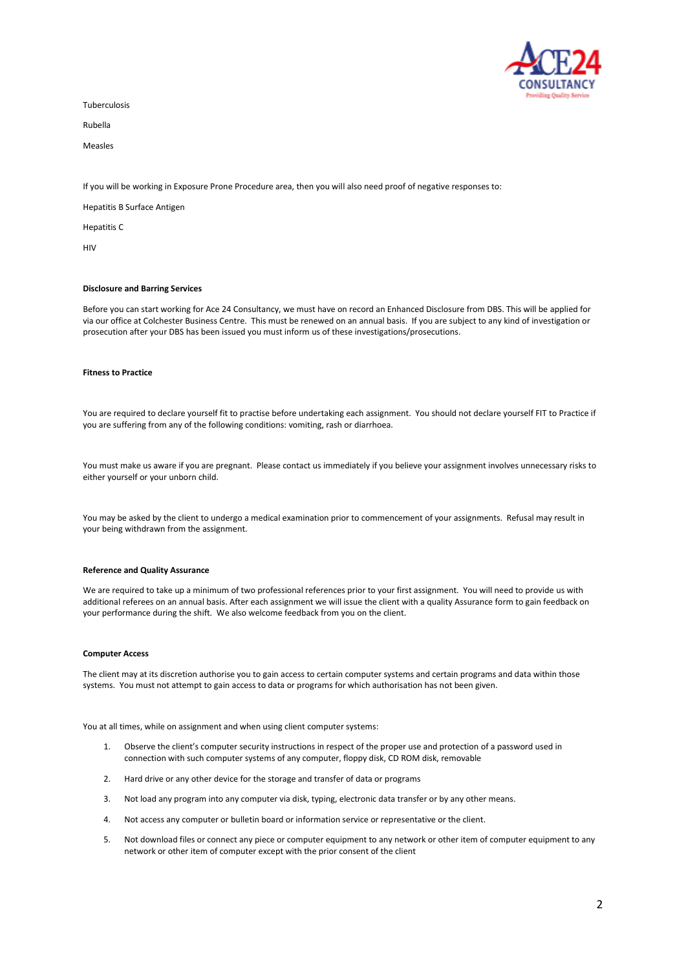

Tuberculosis

Rubella

Measles

If you will be working in Exposure Prone Procedure area, then you will also need proof of negative responses to:

Hepatitis B Surface Antigen

Hepatitis C

HIV

### **Disclosure and Barring Services**

Before you can start working for Ace 24 Consultancy, we must have on record an Enhanced Disclosure from DBS. This will be applied for via our office at Colchester Business Centre. This must be renewed on an annual basis. If you are subject to any kind of investigation or prosecution after your DBS has been issued you must inform us of these investigations/prosecutions.

# **Fitness to Practice**

You are required to declare yourself fit to practise before undertaking each assignment. You should not declare yourself FIT to Practice if you are suffering from any of the following conditions: vomiting, rash or diarrhoea.

You must make us aware if you are pregnant. Please contact us immediately if you believe your assignment involves unnecessary risks to either yourself or your unborn child.

You may be asked by the client to undergo a medical examination prior to commencement of your assignments. Refusal may result in your being withdrawn from the assignment.

#### **Reference and Quality Assurance**

We are required to take up a minimum of two professional references prior to your first assignment. You will need to provide us with additional referees on an annual basis. After each assignment we will issue the client with a quality Assurance form to gain feedback on your performance during the shift. We also welcome feedback from you on the client.

## **Computer Access**

The client may at its discretion authorise you to gain access to certain computer systems and certain programs and data within those systems. You must not attempt to gain access to data or programs for which authorisation has not been given.

You at all times, while on assignment and when using client computer systems:

- 1. Observe the client's computer security instructions in respect of the proper use and protection of a password used in connection with such computer systems of any computer, floppy disk, CD ROM disk, removable
- 2. Hard drive or any other device for the storage and transfer of data or programs
- 3. Not load any program into any computer via disk, typing, electronic data transfer or by any other means.
- 4. Not access any computer or bulletin board or information service or representative or the client.
- 5. Not download files or connect any piece or computer equipment to any network or other item of computer equipment to any network or other item of computer except with the prior consent of the client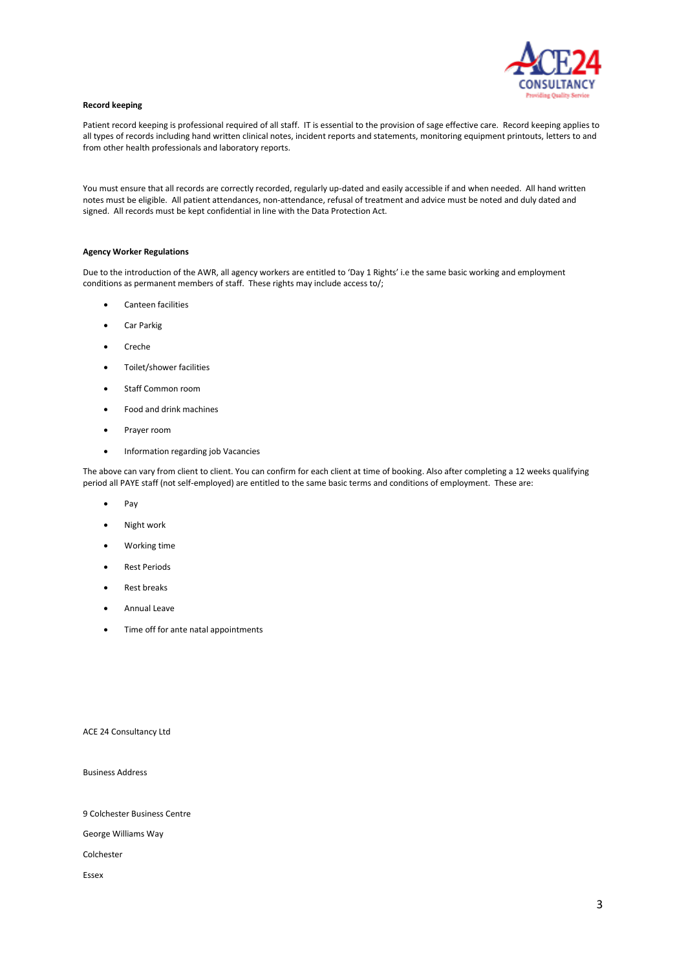

## **Record keeping**

Patient record keeping is professional required of all staff. IT is essential to the provision of sage effective care. Record keeping applies to all types of records including hand written clinical notes, incident reports and statements, monitoring equipment printouts, letters to and from other health professionals and laboratory reports.

You must ensure that all records are correctly recorded, regularly up-dated and easily accessible if and when needed. All hand written notes must be eligible. All patient attendances, non-attendance, refusal of treatment and advice must be noted and duly dated and signed. All records must be kept confidential in line with the Data Protection Act.

## **Agency Worker Regulations**

Due to the introduction of the AWR, all agency workers are entitled to 'Day 1 Rights' i.e the same basic working and employment conditions as permanent members of staff. These rights may include access to/;

- Canteen facilities
- Car Parkig
- Creche
- Toilet/shower facilities
- Staff Common room
- Food and drink machines
- Prayer room
- Information regarding job Vacancies

The above can vary from client to client. You can confirm for each client at time of booking. Also after completing a 12 weeks qualifying period all PAYE staff (not self-employed) are entitled to the same basic terms and conditions of employment. These are:

- Pay
- Night work
- Working time
- Rest Periods
- Rest breaks
- Annual Leave
- Time off for ante natal appointments

ACE 24 Consultancy Ltd

Business Address

9 Colchester Business Centre

George Williams Way

Colchester

Essex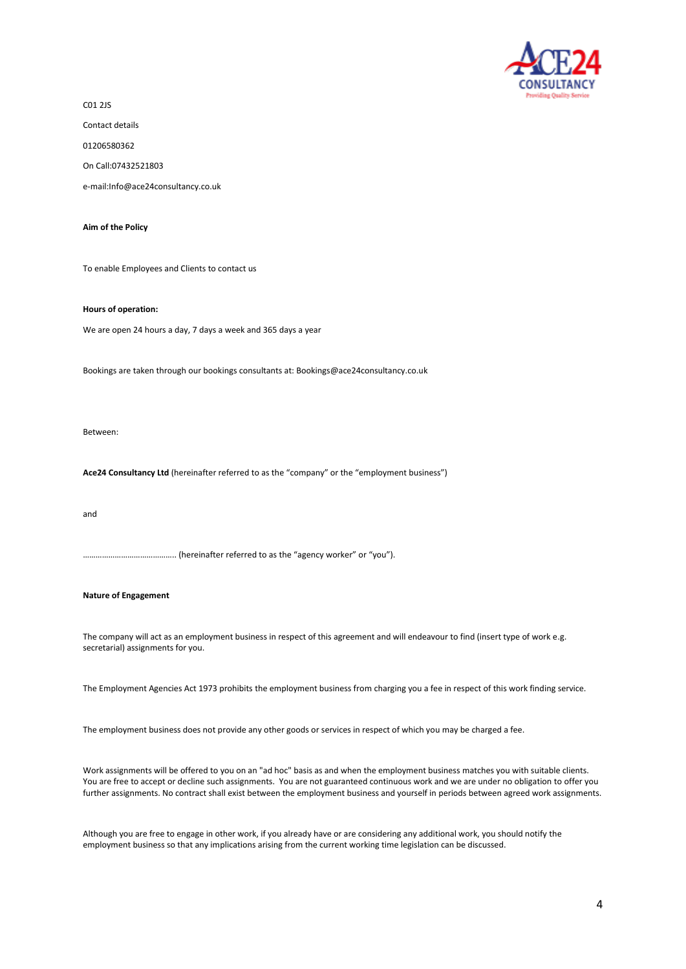

C01 2JS

Contact details

01206580362

On Call:07432521803

e-mail:Info@ace24consultancy.co.uk

**Aim of the Policy**

To enable Employees and Clients to contact us

**Hours of operation:**

We are open 24 hours a day, 7 days a week and 365 days a year

Bookings are taken through our bookings consultants at: Bookings@ace24consultancy.co.uk

Between:

**Ace24 Consultancy Ltd** (hereinafter referred to as the "company" or the "employment business")

and

................... (hereinafter referred to as the "agency worker" or "you").

# **Nature of Engagement**

The company will act as an employment business in respect of this agreement and will endeavour to find (insert type of work e.g. secretarial) assignments for you.

The Employment Agencies Act 1973 prohibits the employment business from charging you a fee in respect of this work finding service.

The employment business does not provide any other goods or services in respect of which you may be charged a fee.

Work assignments will be offered to you on an "ad hoc" basis as and when the employment business matches you with suitable clients. You are free to accept or decline such assignments. You are not guaranteed continuous work and we are under no obligation to offer you further assignments. No contract shall exist between the employment business and yourself in periods between agreed work assignments.

Although you are free to engage in other work, if you already have or are considering any additional work, you should notify the employment business so that any implications arising from the current working time legislation can be discussed.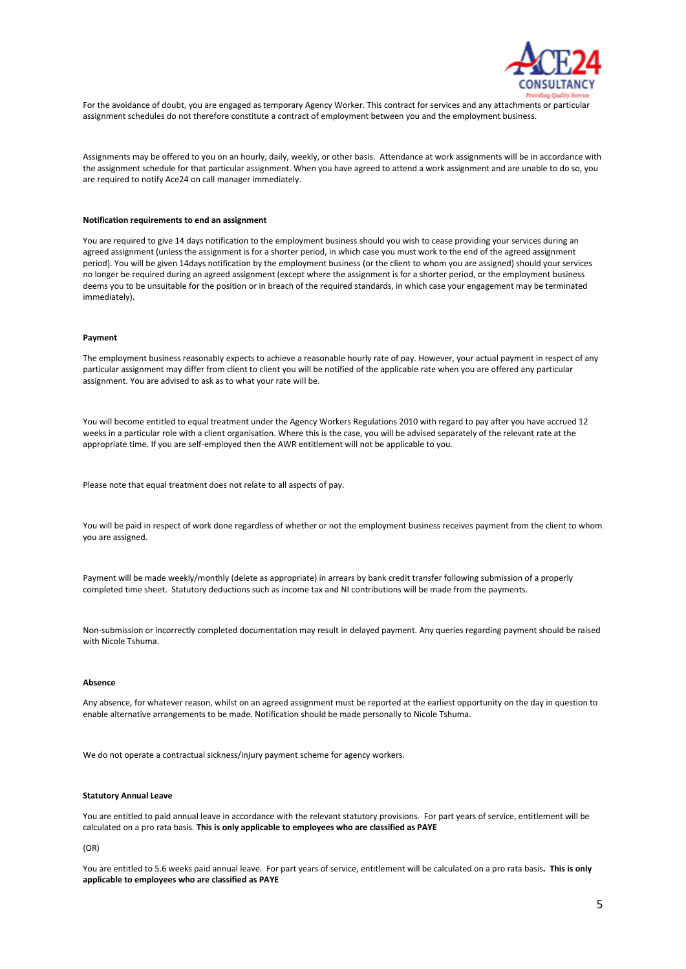

For the avoidance of doubt, you are engaged as temporary Agency Worker. This contract for services and any attachments or particular assignment schedules do not therefore constitute a contract of employment between you and the employment business.

Assignments may be offered to you on an hourly, daily, weekly, or other basis. Attendance at work assignments will be in accordance with the assignment schedule for that particular assignment. When you have agreed to attend a work assignment and are unable to do so, you are required to notify Ace24 on call manager immediately.

### **Notification requirements to end an assignment**

You are required to give 14 days notification to the employment business should you wish to cease providing your services during an agreed assignment (unless the assignment is for a shorter period, in which case you must work to the end of the agreed assignment period). You will be given 14days notification by the employment business (or the client to whom you are assigned) should your services no longer be required during an agreed assignment (except where the assignment is for a shorter period, or the employment business deems you to be unsuitable for the position or in breach of the required standards, in which case your engagement may be terminated immediately).

### **Payment**

The employment business reasonably expects to achieve a reasonable hourly rate of pay. However, your actual payment in respect of any particular assignment may differ from client to client you will be notified of the applicable rate when you are offered any particular assignment. You are advised to ask as to what your rate will be.

You will become entitled to equal treatment under the Agency Workers Regulations 2010 with regard to pay after you have accrued 12 weeks in a particular role with a client organisation. Where this is the case, you will be advised separately of the relevant rate at the appropriate time. If you are self-employed then the AWR entitlement will not be applicable to you.

Please note that equal treatment does not relate to all aspects of pay.

You will be paid in respect of work done regardless of whether or not the employment business receives payment from the client to whom you are assigned.

Payment will be made weekly/monthly (delete as appropriate) in arrears by bank credit transfer following submission of a properly completed time sheet. Statutory deductions such as income tax and NI contributions will be made from the payments.

Non-submission or incorrectly completed documentation may result in delayed payment. Any queries regarding payment should be raised with Nicole Tshuma.

#### **Absence**

Any absence, for whatever reason, whilst on an agreed assignment must be reported at the earliest opportunity on the day in question to enable alternative arrangements to be made. Notification should be made personally to Nicole Tshuma.

We do not operate a contractual sickness/injury payment scheme for agency workers.

### **Statutory Annual Leave**

You are entitled to paid annual leave in accordance with the relevant statutory provisions. For part years of service, entitlement will be calculated on a pro rata basis. **This is only applicable to employees who are classified as PAYE**

(OR)

You are entitled to 5.6 weeks paid annual leave. For part years of service, entitlement will be calculated on a pro rata basis**. This is only applicable to employees who are classified as PAYE**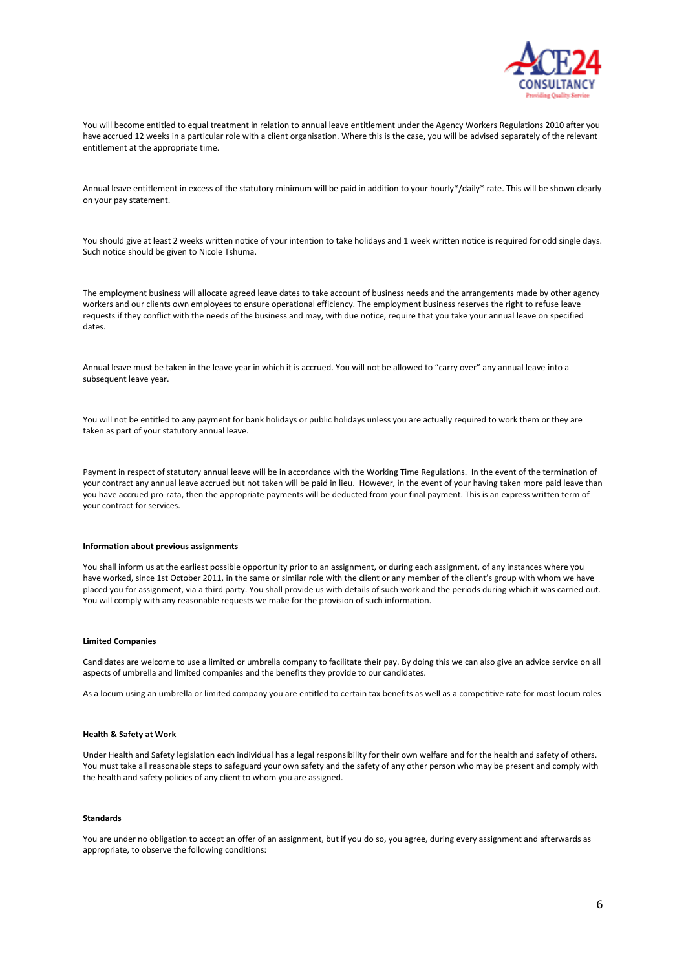

You will become entitled to equal treatment in relation to annual leave entitlement under the Agency Workers Regulations 2010 after you have accrued 12 weeks in a particular role with a client organisation. Where this is the case, you will be advised separately of the relevant entitlement at the appropriate time.

Annual leave entitlement in excess of the statutory minimum will be paid in addition to your hourly\*/daily\* rate. This will be shown clearly on your pay statement.

You should give at least 2 weeks written notice of your intention to take holidays and 1 week written notice is required for odd single days. Such notice should be given to Nicole Tshuma.

The employment business will allocate agreed leave dates to take account of business needs and the arrangements made by other agency workers and our clients own employees to ensure operational efficiency. The employment business reserves the right to refuse leave requests if they conflict with the needs of the business and may, with due notice, require that you take your annual leave on specified dates.

Annual leave must be taken in the leave year in which it is accrued. You will not be allowed to "carry over" any annual leave into a subsequent leave year.

You will not be entitled to any payment for bank holidays or public holidays unless you are actually required to work them or they are taken as part of your statutory annual leave.

Payment in respect of statutory annual leave will be in accordance with the Working Time Regulations. In the event of the termination of your contract any annual leave accrued but not taken will be paid in lieu. However, in the event of your having taken more paid leave than you have accrued pro-rata, then the appropriate payments will be deducted from your final payment. This is an express written term of your contract for services.

## **Information about previous assignments**

You shall inform us at the earliest possible opportunity prior to an assignment, or during each assignment, of any instances where you have worked, since 1st October 2011, in the same or similar role with the client or any member of the client's group with whom we have placed you for assignment, via a third party. You shall provide us with details of such work and the periods during which it was carried out. You will comply with any reasonable requests we make for the provision of such information.

### **Limited Companies**

Candidates are welcome to use a limited or umbrella company to facilitate their pay. By doing this we can also give an advice service on all aspects of umbrella and limited companies and the benefits they provide to our candidates.

As a locum using an umbrella or limited company you are entitled to certain tax benefits as well as a competitive rate for most locum roles

### **Health & Safety at Work**

Under Health and Safety legislation each individual has a legal responsibility for their own welfare and for the health and safety of others. You must take all reasonable steps to safeguard your own safety and the safety of any other person who may be present and comply with the health and safety policies of any client to whom you are assigned.

#### **Standards**

You are under no obligation to accept an offer of an assignment, but if you do so, you agree, during every assignment and afterwards as appropriate, to observe the following conditions: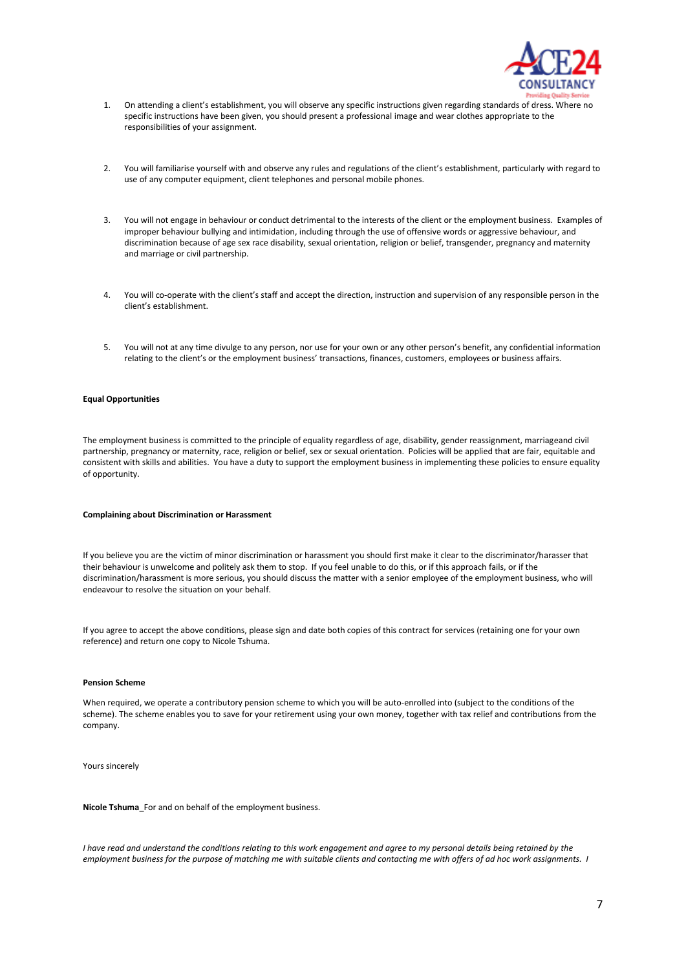

- 1. On attending a client's establishment, you will observe any specific instructions given regarding standards of dress. Where no specific instructions have been given, you should present a professional image and wear clothes appropriate to the responsibilities of your assignment.
- 2. You will familiarise yourself with and observe any rules and regulations of the client's establishment, particularly with regard to use of any computer equipment, client telephones and personal mobile phones.
- 3. You will not engage in behaviour or conduct detrimental to the interests of the client or the employment business. Examples of improper behaviour bullying and intimidation, including through the use of offensive words or aggressive behaviour, and discrimination because of age sex race disability, sexual orientation, religion or belief, transgender, pregnancy and maternity and marriage or civil partnership.
- 4. You will co-operate with the client's staff and accept the direction, instruction and supervision of any responsible person in the client's establishment.
- 5. You will not at any time divulge to any person, nor use for your own or any other person's benefit, any confidential information relating to the client's or the employment business' transactions, finances, customers, employees or business affairs.

# **Equal Opportunities**

The employment business is committed to the principle of equality regardless of age, disability, gender reassignment, marriageand civil partnership, pregnancy or maternity, race, religion or belief, sex or sexual orientation. Policies will be applied that are fair, equitable and consistent with skills and abilities. You have a duty to support the employment business in implementing these policies to ensure equality of opportunity.

### **Complaining about Discrimination or Harassment**

If you believe you are the victim of minor discrimination or harassment you should first make it clear to the discriminator/harasser that their behaviour is unwelcome and politely ask them to stop. If you feel unable to do this, or if this approach fails, or if the discrimination/harassment is more serious, you should discuss the matter with a senior employee of the employment business, who will endeavour to resolve the situation on your behalf.

If you agree to accept the above conditions, please sign and date both copies of this contract for services (retaining one for your own reference) and return one copy to Nicole Tshuma.

## **Pension Scheme**

When required, we operate a contributory pension scheme to which you will be auto-enrolled into (subject to the conditions of the scheme). The scheme enables you to save for your retirement using your own money, together with tax relief and contributions from the company.

Yours sincerely

**Nicole Tshuma**\_For and on behalf of the employment business.

*I have read and understand the conditions relating to this work engagement and agree to my personal details being retained by the employment business for the purpose of matching me with suitable clients and contacting me with offers of ad hoc work assignments. I*